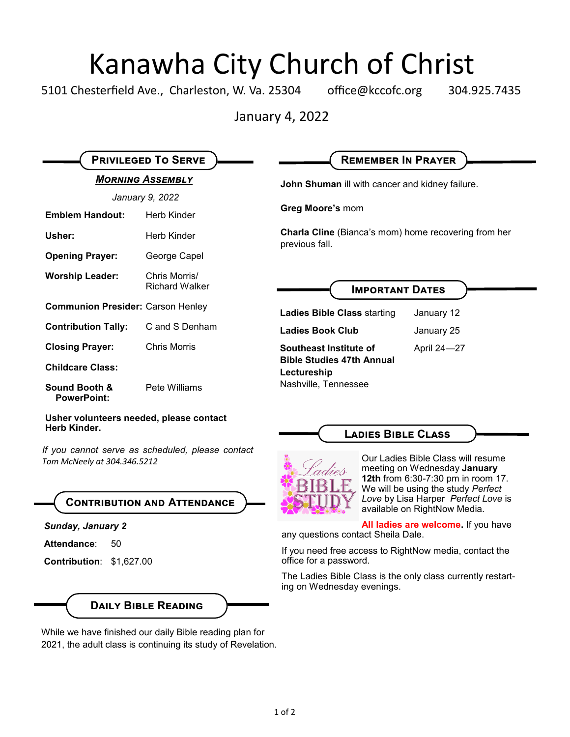# Kanawha City Church of Christ<br>esterfield Ave., Charleston, W. Va. 25304 office@kccofc.org 304.9

5101 Chesterfield Ave., Charleston, W. Va. 25304 office@kccofc.org 304.925.7435

January 4, 2022

| <b>PRIVILEGED TO SERVE</b>                                                       |                                        | <b>REMEMBER IN PRAYER</b>                                                                                                                      |
|----------------------------------------------------------------------------------|----------------------------------------|------------------------------------------------------------------------------------------------------------------------------------------------|
| <b>MORNING ASSEMBLY</b>                                                          |                                        | John Shuman ill with cancer and kidney failure.                                                                                                |
| January 9, 2022                                                                  |                                        |                                                                                                                                                |
| <b>Emblem Handout:</b>                                                           | Herb Kinder                            | Greg Moore's mom<br><b>Charla Cline</b> (Bianca's mom) home recovering from her<br>previous fall.                                              |
| Usher:                                                                           | Herb Kinder                            |                                                                                                                                                |
| <b>Opening Prayer:</b>                                                           | George Capel                           |                                                                                                                                                |
| <b>Worship Leader:</b>                                                           | Chris Morris/<br><b>Richard Walker</b> | <b>IMPORTANT DATES</b>                                                                                                                         |
| <b>Communion Presider: Carson Henley</b>                                         |                                        | <b>Ladies Bible Class starting</b><br>January 12                                                                                               |
| <b>Contribution Tally:</b>                                                       | C and S Denham                         | <b>Ladies Book Club</b><br>January 25                                                                                                          |
| <b>Closing Prayer:</b>                                                           | <b>Chris Morris</b>                    | Southeast Institute of<br>April 24-27                                                                                                          |
| <b>Childcare Class:</b>                                                          |                                        | <b>Bible Studies 47th Annual</b><br>Lectureship                                                                                                |
| <b>Sound Booth &amp;</b><br><b>PowerPoint:</b>                                   | Pete Williams                          | Nashville, Tennessee                                                                                                                           |
| Usher volunteers needed, please contact<br>Herb Kinder.                          |                                        | <b>LADIES BIBLE CLASS</b>                                                                                                                      |
| If you cannot serve as scheduled, please contact<br>Tom McNeely at 304.346.5212  |                                        | Our Ladies Bible Class will resume<br>meeting on Wednesday January<br>12th from 6:30-7:30 pm in room 17.<br>We will be using the study Perfect |
| <b>CONTRIBUTION AND ATTENDANCE</b>                                               |                                        | Love by Lisa Harper Perfect Love is<br>available on RightNow Media.                                                                            |
| <b>Sunday, January 2</b><br>Attendance:<br>50<br><b>Contribution: \$1,627.00</b> |                                        | All ladies are welcome. If you have<br>any questions contact Sheila Dale.                                                                      |
|                                                                                  |                                        | If you need free access to RightNow media, contact the<br>office for a password.                                                               |
|                                                                                  |                                        | The Ladies Bible Class is the only class currently restart-<br>ing on Wednesday evenings.                                                      |
| <b>DAILY BIBLE READING</b>                                                       |                                        |                                                                                                                                                |

While we have finished our daily Bible reading plan for 2021, the adult class is continuing its study of Revelation.